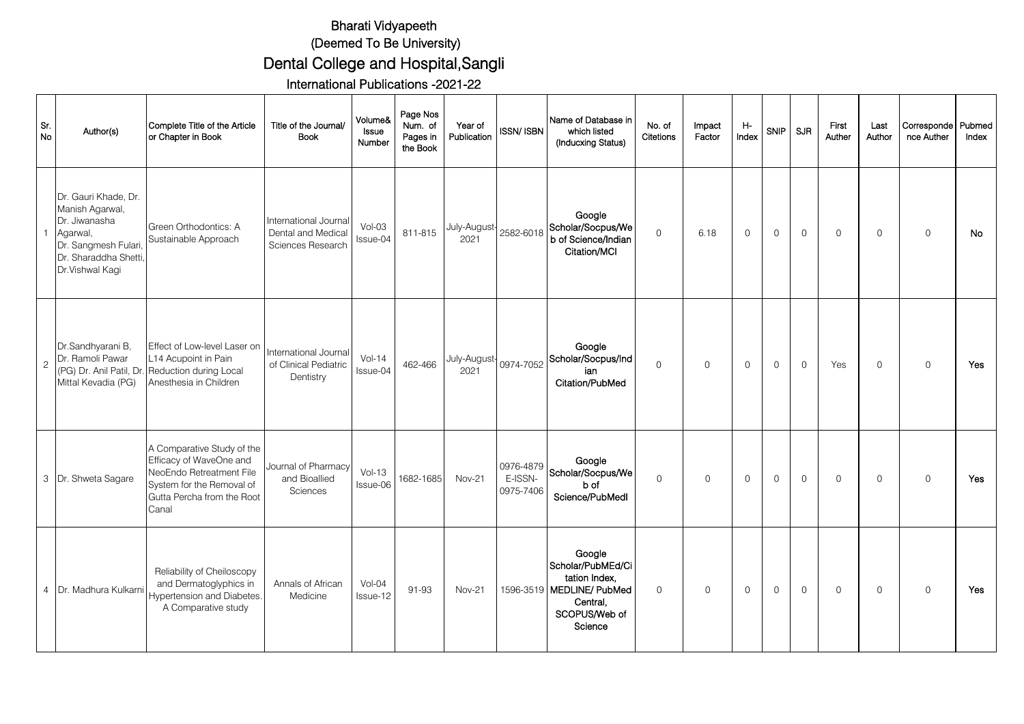## Bharati Vidyapeeth (Deemed To Be University) Dental College and Hospital,Sangli

International Publications -2021-22

| Sr.<br>No      | Author(s)                                                                                                                               | Complete Title of the Article<br>or Chapter in Book                                                                                                   | Title of the Journal/<br><b>Book</b>                             | Volume&<br>Issue<br>Number | Page Nos<br>Num. of<br>Pages in<br>the Book | Year of<br>Publication          | <b>ISSN/ISBN</b>                  | Name of Database in<br>which listed<br>(Inducxing Status)                                                         | No. of<br>Citetions | Impact<br>Factor | Η-<br>Index  | <b>SNIP</b>         | SJR                 | First<br>Auther | Last<br>Author | Corresponde<br>nce Auther | Pubmed<br>Index |
|----------------|-----------------------------------------------------------------------------------------------------------------------------------------|-------------------------------------------------------------------------------------------------------------------------------------------------------|------------------------------------------------------------------|----------------------------|---------------------------------------------|---------------------------------|-----------------------------------|-------------------------------------------------------------------------------------------------------------------|---------------------|------------------|--------------|---------------------|---------------------|-----------------|----------------|---------------------------|-----------------|
|                | Dr. Gauri Khade, Dr.<br>Manish Agarwal,<br>Dr. Jiwanasha<br>Agarwal,<br>Dr. Sangmesh Fulari<br>Dr. Sharaddha Shetti,<br>Dr.Vishwal Kagi | Green Orthodontics: A<br>Sustainable Approach                                                                                                         | International Journal<br>Dental and Medical<br>Sciences Research | $Vol-03$<br>Issue-04       | 811-815                                     | July-August-<br>2021            | 2582-6018                         | Google<br>Scholar/Socpus/We<br>b of Science/Indian<br>Citation/MCI                                                | $\circ$             | 6.18             | 0            | $\mathsf{O}\xspace$ | $\mathsf{O}\xspace$ | $\mathbf 0$     | $\mathbf 0$    | $\mathsf{O}$              | No              |
| $\overline{c}$ | Dr.Sandhyarani B,<br>Dr. Ramoli Pawar<br>(PG) Dr. Anil Patil, Dr.<br>Mittal Kevadia (PG)                                                | Effect of Low-level Laser on<br>L14 Acupoint in Pain<br>Reduction during Local<br>Anesthesia in Children                                              | International Journal<br>of Clinical Pediatric<br>Dentistry      | $Vol-14$<br>Issue-04       | 462-466                                     | July-August   0974-7052<br>2021 |                                   | Google<br>Scholar/Socpus/Ind<br>ian<br>Citation/PubMed                                                            | $\Omega$            | $\mathsf{O}$     | $\Omega$     | $\mathbf 0$         | $\mathsf{O}$        | Yes             | $\Omega$       | $\Omega$                  | Yes             |
|                | 3 Dr. Shweta Sagare                                                                                                                     | A Comparative Study of the<br>Efficacy of WaveOne and<br>NeoEndo Retreatment File<br>System for the Removal of<br>Gutta Percha from the Root<br>Canal | Journal of Pharmacy<br>and Bioallied<br><b>Sciences</b>          | $Vol-13$<br>Issue-06       | 1682-1685                                   | <b>Nov-21</b>                   | 0976-4879<br>E-ISSN-<br>0975-7406 | Google<br>Scholar/Socpus/We<br>b of<br>Science/PubMedl                                                            | $\Omega$            | $\mathbf 0$      | $\mathsf{O}$ | $\mathbf 0$         | $\mathsf{O}$        | $\Omega$        | $\Omega$       | $\Omega$                  | Yes             |
|                | 4 Dr. Madhura Kulkarn                                                                                                                   | Reliability of Cheiloscopy<br>and Dermatoglyphics in<br><b>Hypertension and Diabetes.</b><br>A Comparative study                                      | Annals of African<br>Medicine                                    | $Vol-04$<br>Issue-12       | 91-93                                       | <b>Nov-21</b>                   |                                   | Google<br>Scholar/PubMEd/Ci<br>tation Index.<br>1596-3519 MEDLINE/ PubMed<br>Central,<br>SCOPUS/Web of<br>Science | $\Omega$            | $\mathbf 0$      | $\mathsf{O}$ | $\mathbf 0$         | $\mathsf{O}$        | $\Omega$        | $\Omega$       | $\Omega$                  | Yes             |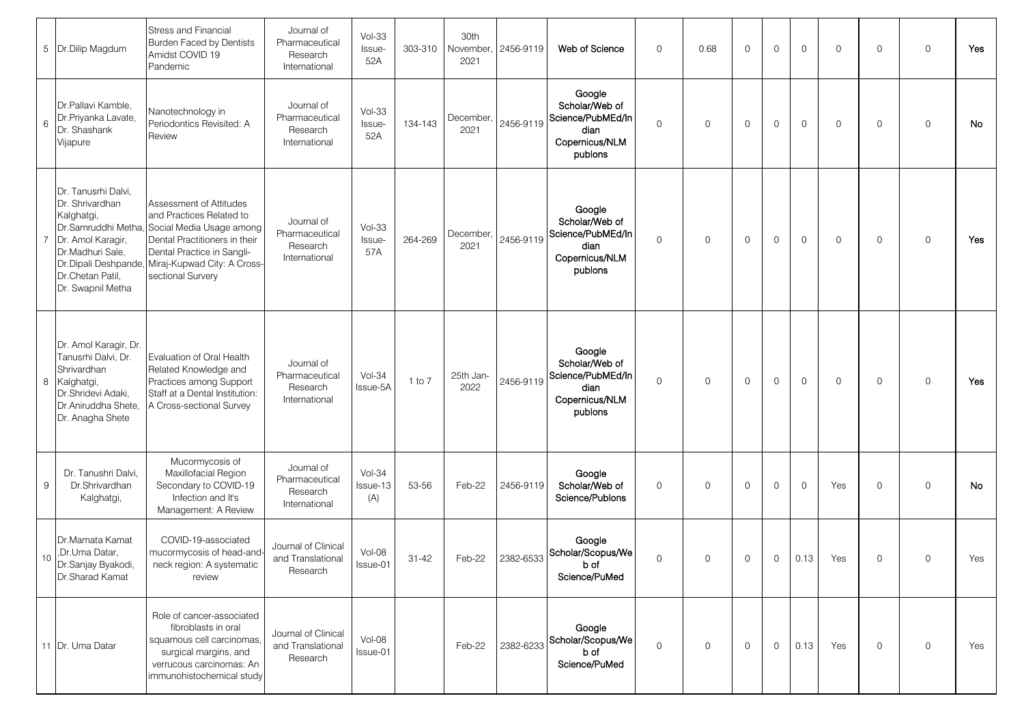|                | 5 Dr.Dilip Magdum                                                                                                                                           | <b>Stress and Financial</b><br>Burden Faced by Dentists<br>Amidst COVID 19<br>Pandemic                                                                                                                                  | Journal of<br>Pharmaceutical<br>Research<br>International | $Vol-33$<br>Issue-<br>52A   | 303-310   | 30th<br>November<br>2021 | 2456-9119 | Web of Science                                                                     | $\mathsf{O}$ | 0.68 | $\Omega$    | $\Omega$       | $\Omega$    | $\mathbf 0$ | $\mathbf 0$ | $\mathbf 0$  | Yes       |
|----------------|-------------------------------------------------------------------------------------------------------------------------------------------------------------|-------------------------------------------------------------------------------------------------------------------------------------------------------------------------------------------------------------------------|-----------------------------------------------------------|-----------------------------|-----------|--------------------------|-----------|------------------------------------------------------------------------------------|--------------|------|-------------|----------------|-------------|-------------|-------------|--------------|-----------|
| 6              | Dr.Pallavi Kamble,<br>Dr.Priyanka Lavate,<br>Dr. Shashank<br>Vijapure                                                                                       | Nanotechnology in<br>Periodontics Revisited: A<br>Review                                                                                                                                                                | Journal of<br>Pharmaceutical<br>Research<br>International | $Vol-33$<br>Issue-<br>52A   | 134-143   | December<br>2021         | 2456-9119 | Google<br>Scholar/Web of<br>Science/PubMEd/In<br>dian<br>Copernicus/NLM<br>publons | $\mathsf{O}$ | 0    | $\Omega$    | $\mathbf 0$    | $\mathbf 0$ | $\mathbf 0$ | $\mathbf 0$ | $\mathbf 0$  | <b>No</b> |
| $\overline{7}$ | Dr. Tanusrhi Dalvi,<br>Dr. Shrivardhan<br>Kalghatgi,<br>Dr.Samruddhi Metha<br>Dr. Amol Karagir<br>Dr.Madhuri Sale,<br>Dr.Chetan Patil,<br>Dr. Swapnil Metha | Assessment of Attitudes<br>and Practices Related to<br>Social Media Usage among<br>Dental Practitioners in their<br>Dental Practice in Sangli-<br>Dr.Dipali Deshpande, Miraj-Kupwad City: A Cross-<br>sectional Survery | Journal of<br>Pharmaceutical<br>Research<br>International | $Vol-33$<br>Issue-<br>57A   | 264-269   | December,<br>2021        | 2456-9119 | Google<br>Scholar/Web of<br>Science/PubMEd/In<br>dian<br>Copernicus/NLM<br>publons | $\mathbf 0$  | 0    | $\mathbf 0$ | $\mathbf 0$    | 0           | $\mathbf 0$ | $\mathbf 0$ | $\mathbf 0$  | Yes       |
| 8              | Dr. Amol Karagir, Dr.<br>Tanusrhi Dalvi, Dr.<br>Shrivardhan<br>Kalghatgi,<br>Dr.Shridevi Adaki,<br>Dr.Aniruddha Shete,<br>Dr. Anagha Shete                  | Evaluation of Oral Health<br>Related Knowledge and<br>Practices among Support<br>Staff at a Dental Institution:<br>A Cross-sectional Survey                                                                             | Journal of<br>Pharmaceutical<br>Research<br>International | $Vol-34$<br>Issue-5A        | 1 to 7    | 25th Jan-<br>2022        | 2456-9119 | Google<br>Scholar/Web of<br>Science/PubMEd/In<br>dian<br>Copernicus/NLM<br>publons | $\mathsf{O}$ | 0    | $\mathbf 0$ | $\mathbf 0$    | $\mathbf 0$ | $\mathbf 0$ | $\mathbf 0$ | $\mathbf 0$  | Yes       |
| 9              | Dr. Tanushri Dalvi.<br>Dr.Shrivardhan<br>Kalghatgi,                                                                                                         | Mucormycosis of<br>Maxillofacial Region<br>Secondary to COVID-19<br>Infection and It's<br>Management: A Review                                                                                                          | Journal of<br>Pharmaceutical<br>Research<br>International | $Vol-34$<br>Issue-13<br>(A) | 53-56     | Feb-22                   | 2456-9119 | Google<br>Scholar/Web of<br>Science/Publons                                        | $\mathbf 0$  | 0    | $\Omega$    | $\mathbf 0$    | $\Omega$    | Yes         | $\mathbf 0$ | $\mathbf 0$  | No        |
| 10             | Dr.Mamata Kamat<br>,Dr.Uma Datar,<br>Dr.Sanjay Byakodi,<br>Dr.Sharad Kamat                                                                                  | COVID-19-associated<br>mucormycosis of head-and-<br>neck region: A systematic<br>review                                                                                                                                 | Journal of Clinical<br>and Translational<br>Research      | Vol-08<br>Issue-01          | $31 - 42$ | Feb-22                   |           | Google<br>2382-6533 Scholar/Scopus/We<br>b of<br>Science/PuMed                     | 0            | 0    | $\mathbf 0$ | $\overline{0}$ | 0.13        | Yes         | $\mathbf 0$ | $\mathsf{O}$ | Yes       |
|                | 11 Dr. Uma Datar                                                                                                                                            | Role of cancer-associated<br>fibroblasts in oral<br>squamous cell carcinomas,<br>surgical margins, and<br>verrucous carcinomas: An<br>immunohistochemical study                                                         | Journal of Clinical<br>and Translational<br>Research      | $Vol-08$<br>Issue-01        |           | Feb-22                   | 2382-6233 | Google<br>Scholar/Scopus/We<br>b of<br>Science/PuMed                               | 0            | 0    | $\mathbf 0$ | 0              | 0.13        | Yes         | $\circ$     | $\mathsf{O}$ | Yes       |